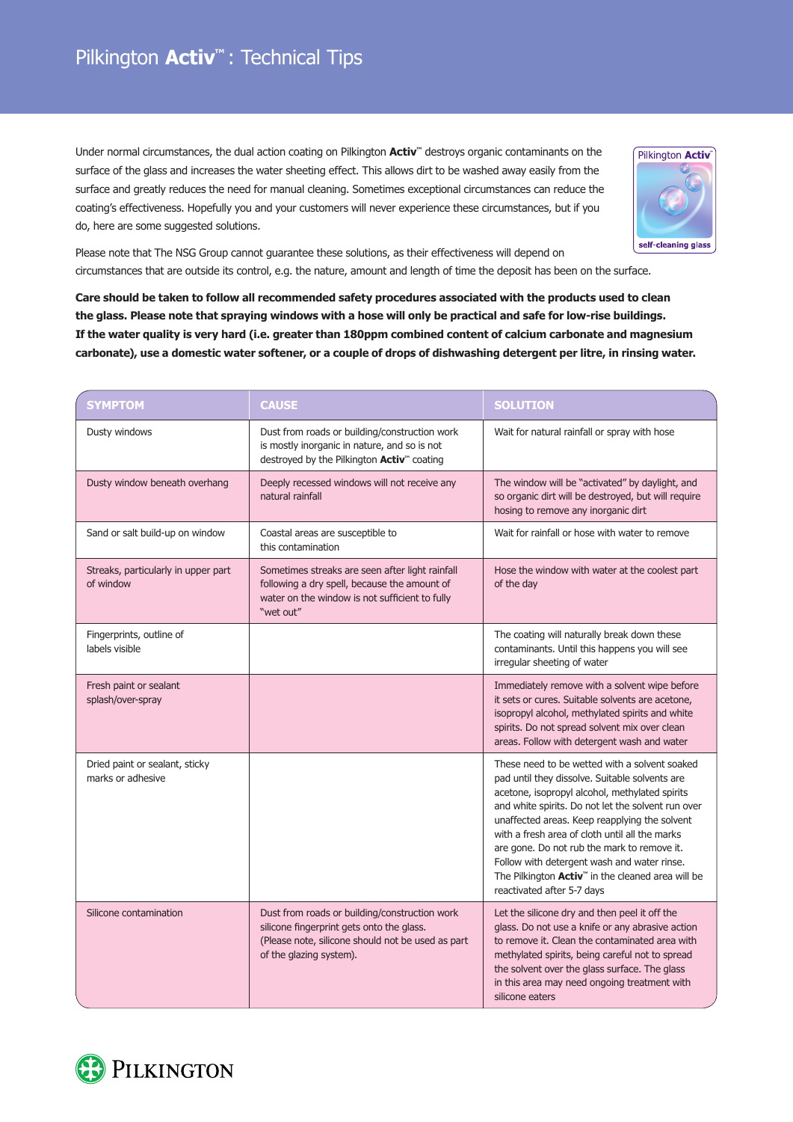Under normal circumstances, the dual action coating on Pilkington **Activ™** destroys organic contaminants on the surface of the glass and increases the water sheeting effect. This allows dirt to be washed away easily from the surface and greatly reduces the need for manual cleaning. Sometimes exceptional circumstances can reduce the coating's effectiveness. Hopefully you and your customers will never experience these circumstances, but if you do, here are some suggested solutions.



Please note that The NSG Group cannot guarantee these solutions, as their effectiveness will depend on circumstances that are outside its control, e.g. the nature, amount and length of time the deposit has been on the surface.

**Care should be taken to follow all recommended safety procedures associated with the products used to clean the glass. Please note that spraying windows with a hose will only be practical and safe for low-rise buildings. If the water quality is very hard (i.e. greater than 180ppm combined content of calcium carbonate and magnesium carbonate), use a domestic water softener, or a couple of drops of dishwashing detergent per litre, in rinsing water.**

| <b>SYMPTOM</b>                                      | <b>CAUSE</b>                                                                                                                                                               | <b>SOLUTION</b>                                                                                                                                                                                                                                                                                                                                                                                                                                                                                         |
|-----------------------------------------------------|----------------------------------------------------------------------------------------------------------------------------------------------------------------------------|---------------------------------------------------------------------------------------------------------------------------------------------------------------------------------------------------------------------------------------------------------------------------------------------------------------------------------------------------------------------------------------------------------------------------------------------------------------------------------------------------------|
| Dusty windows                                       | Dust from roads or building/construction work<br>is mostly inorganic in nature, and so is not<br>destroyed by the Pilkington Activ™ coating                                | Wait for natural rainfall or spray with hose                                                                                                                                                                                                                                                                                                                                                                                                                                                            |
| Dusty window beneath overhang                       | Deeply recessed windows will not receive any<br>natural rainfall                                                                                                           | The window will be "activated" by daylight, and<br>so organic dirt will be destroyed, but will require<br>hosing to remove any inorganic dirt                                                                                                                                                                                                                                                                                                                                                           |
| Sand or salt build-up on window                     | Coastal areas are susceptible to<br>this contamination                                                                                                                     | Wait for rainfall or hose with water to remove                                                                                                                                                                                                                                                                                                                                                                                                                                                          |
| Streaks, particularly in upper part<br>of window    | Sometimes streaks are seen after light rainfall<br>following a dry spell, because the amount of<br>water on the window is not sufficient to fully<br>"wet out"             | Hose the window with water at the coolest part<br>of the day                                                                                                                                                                                                                                                                                                                                                                                                                                            |
| Fingerprints, outline of<br>labels visible          |                                                                                                                                                                            | The coating will naturally break down these<br>contaminants. Until this happens you will see<br>irregular sheeting of water                                                                                                                                                                                                                                                                                                                                                                             |
| Fresh paint or sealant<br>splash/over-spray         |                                                                                                                                                                            | Immediately remove with a solvent wipe before<br>it sets or cures. Suitable solvents are acetone,<br>isopropyl alcohol, methylated spirits and white<br>spirits. Do not spread solvent mix over clean<br>areas. Follow with detergent wash and water                                                                                                                                                                                                                                                    |
| Dried paint or sealant, sticky<br>marks or adhesive |                                                                                                                                                                            | These need to be wetted with a solvent soaked<br>pad until they dissolve. Suitable solvents are<br>acetone, isopropyl alcohol, methylated spirits<br>and white spirits. Do not let the solvent run over<br>unaffected areas. Keep reapplying the solvent<br>with a fresh area of cloth until all the marks<br>are gone. Do not rub the mark to remove it.<br>Follow with detergent wash and water rinse.<br>The Pilkington Activ <sup>"</sup> in the cleaned area will be<br>reactivated after 5-7 days |
| Silicone contamination                              | Dust from roads or building/construction work<br>silicone fingerprint gets onto the glass.<br>(Please note, silicone should not be used as part<br>of the glazing system). | Let the silicone dry and then peel it off the<br>glass. Do not use a knife or any abrasive action<br>to remove it. Clean the contaminated area with<br>methylated spirits, being careful not to spread<br>the solvent over the glass surface. The glass<br>in this area may need ongoing treatment with<br>silicone eaters                                                                                                                                                                              |